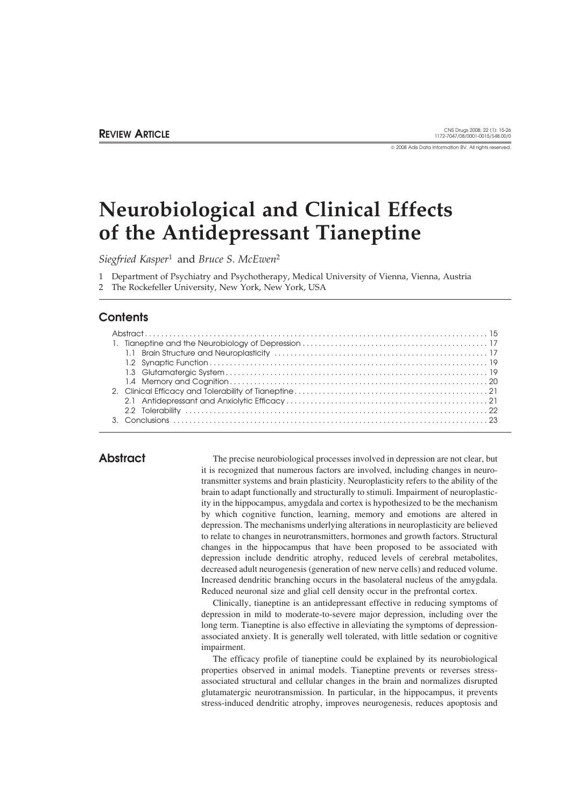© 2008 Adis Data Information BV. All rights reserved.

# **Neurobiological and Clinical Effects of the Antidepressant Tianeptine**

*Siegfried Kasper*1 and *Bruce S. McEwen*<sup>2</sup>

- 1 Department of Psychiatry and Psychotherapy, Medical University of Vienna, Vienna, Austria
- 2 The Rockefeller University, New York, New York, USA

# **Contents**

**Abstract** The precise neurobiological processes involved in depression are not clear, but it is recognized that numerous factors are involved, including changes in neurotransmitter systems and brain plasticity. Neuroplasticity refers to the ability of the brain to adapt functionally and structurally to stimuli. Impairment of neuroplasticity in the hippocampus, amygdala and cortex is hypothesized to be the mechanism by which cognitive function, learning, memory and emotions are altered in depression. The mechanisms underlying alterations in neuroplasticity are believed to relate to changes in neurotransmitters, hormones and growth factors. Structural changes in the hippocampus that have been proposed to be associated with depression include dendritic atrophy, reduced levels of cerebral metabolites, decreased adult neurogenesis (generation of new nerve cells) and reduced volume. Increased dendritic branching occurs in the basolateral nucleus of the amygdala. Reduced neuronal size and glial cell density occur in the prefrontal cortex.

> Clinically, tianeptine is an antidepressant effective in reducing symptoms of depression in mild to moderate-to-severe major depression, including over the long term. Tianeptine is also effective in alleviating the symptoms of depressionassociated anxiety. It is generally well tolerated, with little sedation or cognitive impairment.

> The efficacy profile of tianeptine could be explained by its neurobiological properties observed in animal models. Tianeptine prevents or reverses stressassociated structural and cellular changes in the brain and normalizes disrupted glutamatergic neurotransmission. In particular, in the hippocampus, it prevents stress-induced dendritic atrophy, improves neurogenesis, reduces apoptosis and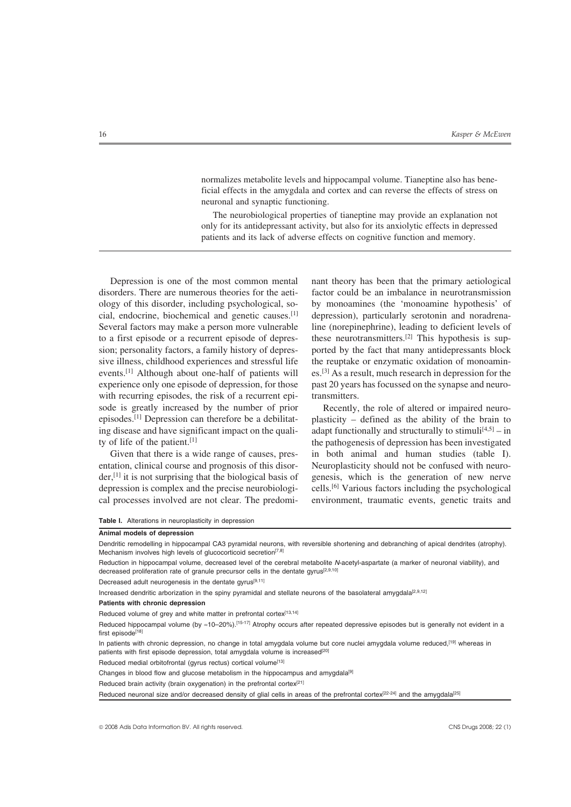normalizes metabolite levels and hippocampal volume. Tianeptine also has beneficial effects in the amygdala and cortex and can reverse the effects of stress on neuronal and synaptic functioning.

The neurobiological properties of tianeptine may provide an explanation not only for its antidepressant activity, but also for its anxiolytic effects in depressed patients and its lack of adverse effects on cognitive function and memory.

Depression is one of the most common mental nant theory has been that the primary aetiological with recurring episodes, the risk of a recurrent epi-<br>transmitters. sode is greatly increased by the number of prior Recently, the role of altered or impaired neuro-

disorders. There are numerous theories for the aeti- factor could be an imbalance in neurotransmission ology of this disorder, including psychological, so- by monoamines (the 'monoamine hypothesis' of cial, endocrine, biochemical and genetic causes.[1] depression), particularly serotonin and noradrena-Several factors may make a person more vulnerable line (norepinephrine), leading to deficient levels of to a first episode or a recurrent episode of depres-<br>these neurotransmitters.<sup>[2]</sup> This hypothesis is supsion; personality factors, a family history of depres- ported by the fact that many antidepressants block sive illness, childhood experiences and stressful life the reuptake or enzymatic oxidation of monoaminevents.<sup>[1]</sup> Although about one-half of patients will es.<sup>[3]</sup> As a result, much research in depression for the experience only one episode of depression, for those past 20 years has focussed on the synapse and neuro-

episodes.<sup>[1]</sup> Depression can therefore be a debilitat-<br>plasticity – defined as the ability of the brain to ing disease and have significant impact on the quali- adapt functionally and structurally to stimuli<sup>[4,5]</sup> – in ty of life of the patient.<sup>[1]</sup> the pathogenesis of depression has been investigated Given that there is a wide range of causes, pres- in both animal and human studies (table I). entation, clinical course and prognosis of this disor- Neuroplasticity should not be confused with neuro $der<sub>i</sub>$ <sup>[1]</sup> it is not surprising that the biological basis of genesis, which is the generation of new nerve depression is complex and the precise neurobiologi- cells.[6] Various factors including the psychological cal processes involved are not clear. The predomi- environment, traumatic events, genetic traits and

**Table I.** Alterations in neuroplasticity in depression

### **Animal models of depression**

Reduction in hippocampal volume, decreased level of the cerebral metabolite *N*-acetyl-aspartate (a marker of neuronal viability), and decreased proliferation rate of granule precursor cells in the dentate gyrus<sup>[2,9,10]</sup>

Decreased adult neurogenesis in the dentate gyrus<sup>[9,11]</sup>

Increased dendritic arborization in the spiny pyramidal and stellate neurons of the basolateral amygdala $[2,9,12]$ 

**Patients with chronic depression**

Reduced volume of grey and white matter in prefrontal cortex<sup>[13,14]</sup>

In patients with chronic depression, no change in total amygdala volume but core nuclei amygdala volume reduced,<sup>[19]</sup> whereas in patients with first episode depression, total amygdala volume is increased<sup>[20]</sup>

Reduced medial orbitofrontal (gyrus rectus) cortical volume<sup>[13]</sup>

Changes in blood flow and glucose metabolism in the hippocampus and amygdala<sup>[9]</sup>

Reduced brain activity (brain oxygenation) in the prefrontal cortex<sup>[21]</sup>

Reduced neuronal size and/or decreased density of glial cells in areas of the prefrontal cortex<sup>[22-24]</sup> and the amygdala<sup>[25]</sup>

Dendritic remodelling in hippocampal CA3 pyramidal neurons, with reversible shortening and debranching of apical dendrites (atrophy). Mechanism involves high levels of glucocorticoid secretion<sup>[7,8]</sup>

Reduced hippocampal volume (by ≈10–20%).<sup>[15-17]</sup> Atrophy occurs after repeated depressive episodes but is generally not evident in a first episode<sup>[18]</sup>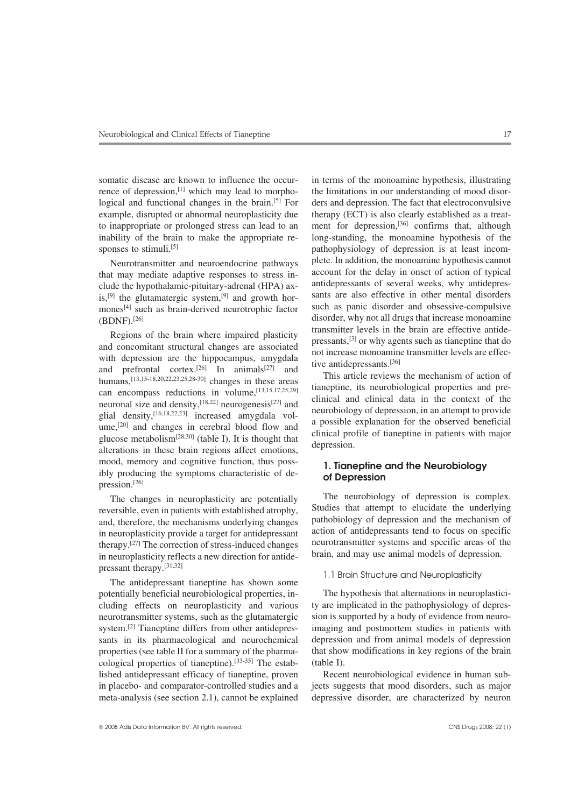mones<sup>[4]</sup> such as brain-derived neurotrophic factor  $(BDNF)<sup>[26]</sup>$ 

Regions of the brain where impaired plasticity<br>and concomitant structural changes are associated<br>with depression are the hippocampus, amygdala<br>and prefrontal cortex.<sup>[26]</sup> In animals<sup>[27]</sup> and humans,<sup>[13,15-18,20,22,23,25,28-30]</sup> changes in these areas<br>can encompass reductions in volume,<sup>[13,15,17,25,29]</sup> thanges in these areas<br>can encompass reductions in volume,<sup>[13,15,17,25,29]</sup> tianeptine, its neurobiologic neuronal size and density,  $[16,18,22,23]$  increased amygdala volume,  $[20]$  and changes in cerebral blood flow and a possible explanation for the observed beneficial glucose metabolism<sup>[28,30]</sup> (table I). It is thought t mood, memory and cognitive function, thus poss-<br>ibly producing the symptoms characteristic of de-<br>**of Depression**<br>**of Depression** 

in neuroplasticity provide a target for antidepressant action of antidepressants tend to focus on specific  $\frac{1}{2}$ . The correction of stress induced changes neurotransmitter systems and specific areas of the therapy.<sup>[27]</sup> The correction of stress-induced changes neurotransmitter systems and specific areas of the the the the theorem of the theorem of the theorem of the the theorem of the the theorem of the theorem of the theor in neuroplasticity reflects a new direction for antidepressant therapy.[31,32]

1.1 Brain Structure and Neuroplasticity<br>The antidepressant tianeptine has shown some potentially beneficial neurobiological properties, in- The hypothesis that alternations in neuroplasticicluding effects on neuroplasticity and various ty are implicated in the pathophysiology of depresneurotransmitter systems, such as the glutamatergic sion is supported by a body of evidence from neuro-<br>system.<sup>[2]</sup> Tianeptine differs from other antidepres- imaging and postmortem studies in patients with sants in its pharmacological and neurochemical depression and from animal models of depression cological properties of tianeptine).  $[33-35]$  The estab- (table I).

somatic disease are known to influence the occur-<br>in terms of the monoamine hypothesis, illustrating rence of depression,<sup>[1]</sup> which may lead to morpho- the limitations in our understanding of mood disorlogical and functional changes in the brain.<sup>[5]</sup> For ders and depression. The fact that electroconvulsive example, disrupted or abnormal neuroplasticity due therapy (ECT) is also clearly established as a treatto inappropriate or prolonged stress can lead to an ment for depression,<sup>[36]</sup> confirms that, although inability of the brain to make the appropriate re- long-standing, the monoamine hypothesis of the sponses to stimuli.<sup>[5]</sup> pathophysiology of depression is at least incom-Neurotransmitter and neuroendocrine pathways plete. In addition, the monoamine hypothesis cannot<br>t may mediate adaptive responses to stress in account for the delay in onset of action of typical that may mediate adaptive responses to stress in-<br>clude the bypothelemic pituitary adrenal  $(HPA)$  ay antidepressants of several weeks, why antidepresclude the hypothalamic-pituitary-adrenal (HPA)  $ax$ -<br>is [9] the glutamateraic system [9] and growth bor<br>sants are also effective in other mental disorders is,<sup>[9]</sup> the glutamatergic system,<sup>[9]</sup> and growth hor-<br>mones<sup>[4]</sup> such as brain derived neurotrophic factor such as panic disorder and obsessive-compulsive disorder, why not all drugs that increase monoamine<br>transmitter levels in the brain are effective antide-

The changes in neuroplasticity are potentially The neurobiology of depression is complex.<br>
The neurobiology of depression is complexed and the metal of the stablished attention and the stablished attention of the stablishe reversible, even in patients with established atrophy, Studies that attempt to elucidate the underlying<br>and therefore the mechanisms underlying changes pathobiology of depression and the mechanism of and, therefore, the mechanisms underlying changes and pathobiology of depression and the mechanism of in neuroplasticity provide a terget for antidepression of antidepressants tend to focus on specific

imaging and postmortem studies in patients with properties (see table II for a summary of the pharma- that show modifications in key regions of the brain

lished antidepressant efficacy of tianeptine, proven Recent neurobiological evidence in human subin placebo- and comparator-controlled studies and a jects suggests that mood disorders, such as major meta-analysis (see section 2.1), cannot be explained depressive disorder, are characterized by neuron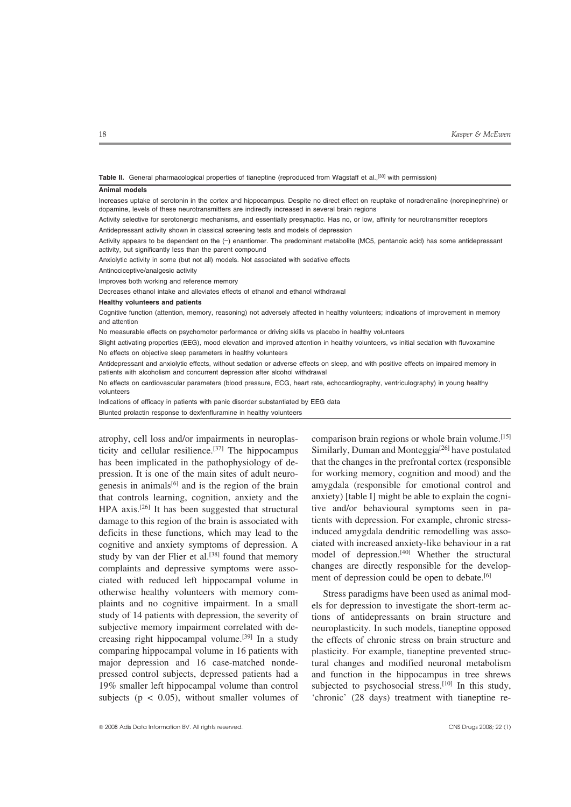**Table II.** General pharmacological properties of tianeptine (reproduced from Wagstaff et al.,[33] with permission)

# **Animal models**

Increases uptake of serotonin in the cortex and hippocampus. Despite no direct effect on reuptake of noradrenaline (norepinephrine) or dopamine, levels of these neurotransmitters are indirectly increased in several brain regions

Activity selective for serotonergic mechanisms, and essentially presynaptic. Has no, or low, affinity for neurotransmitter receptors Antidepressant activity shown in classical screening tests and models of depression

Activity appears to be dependent on the (–) enantiomer. The predominant metabolite (MC5, pentanoic acid) has some antidepressant activity, but significantly less than the parent compound

Anxiolytic activity in some (but not all) models. Not associated with sedative effects

Antinociceptive/analgesic activity

Improves both working and reference memory

Decreases ethanol intake and alleviates effects of ethanol and ethanol withdrawal

## **Healthy volunteers and patients**

Cognitive function (attention, memory, reasoning) not adversely affected in healthy volunteers; indications of improvement in memory and attention

No measurable effects on psychomotor performance or driving skills vs placebo in healthy volunteers

Slight activating properties (EEG), mood elevation and improved attention in healthy volunteers, vs initial sedation with fluvoxamine No effects on objective sleep parameters in healthy volunteers

Antidepressant and anxiolytic effects, without sedation or adverse effects on sleep, and with positive effects on impaired memory in patients with alcoholism and concurrent depression after alcohol withdrawal

No effects on cardiovascular parameters (blood pressure, ECG, heart rate, echocardiography, ventriculography) in young healthy volunteers

Indications of efficacy in patients with panic disorder substantiated by EEG data

Blunted prolactin response to dexfenfluramine in healthy volunteers

ticity and cellular resilience.<sup>[37]</sup> The hippocampus Similarly, Duman and Monteggia<sup>[26]</sup> have postulated has been implicated in the pathophysiology of de-<br>that the changes in the prefrontal cortex (responsible pression. It is one of the main sites of adult neuro- for working memory, cognition and mood) and the genesis in animals<sup>[6]</sup> and is the region of the brain amygdala (responsible for emotional control and that controls learning, cognition, anxiety and the anxiety) [table I] might be able to explain the cogni-HPA axis.<sup>[26]</sup> It has been suggested that structural tive and/or behavioural symptoms seen in padamage to this region of the brain is associated with tients with depression. For example, chronic stress-<br>deficits in these functions which may lead to the induced amygdala dendritic remodelling was assodeficits in these functions, which may lead to the induced amygdala dendritic remodelling was asso-<br>cognitive and anxiety symptoms of depression. A ciated with increased anxiety-like behaviour in a rat cognitive and anxiety symptoms of depression. A ciated with increased anxiety-like behaviour in a rat study by van der Flier et al.<sup>[38]</sup> found that memory model of depression.<sup>[40]</sup> Whether the structural study by van der Flier et al.<sup>[38]</sup> found that memory model of depression.<sup>[40]</sup> Whether the structural complaints and depressive symptoms were asso-<br>changes are directly responsible for the developcomplaints and depressive symptoms were asso-<br>ciated with reduced left hinnocampal volume in ment of depression could be open to debate.<sup>[6]</sup> ciated with reduced left hippocampal volume in otherwise healthy volunteers with memory com- Stress paradigms have been used as animal modplaints and no cognitive impairment. In a small els for depression to investigate the short-term ac-<br>study of 14 patients with depression, the severity of tions of antidepressants on brain structure and study of 14 patients with depression, the severity of tions of antidepressants on brain structure and subjective memory impairment correlated with de-<br>neuroplasticity. In such models, tianeptine opposed creasing right hippocampal volume.<sup>[39]</sup> In a study the effects of chronic stress on brain structure and comparing hippocampal volume in 16 patients with plasticity. For example, tianeptine prevented strucmajor depression and 16 case-matched nonde- tural changes and modified neuronal metabolism pressed control subjects, depressed patients had a and function in the hippocampus in tree shrews 19% smaller left hippocampal volume than control subjected to psychosocial stress.[10] In this study,

atrophy, cell loss and/or impairments in neuroplas- comparison brain regions or whole brain volume.[15]

neuroplasticity. In such models, tianeptine opposed subjects ( $p < 0.05$ ), without smaller volumes of 'chronic' (28 days) treatment with tianeptine re-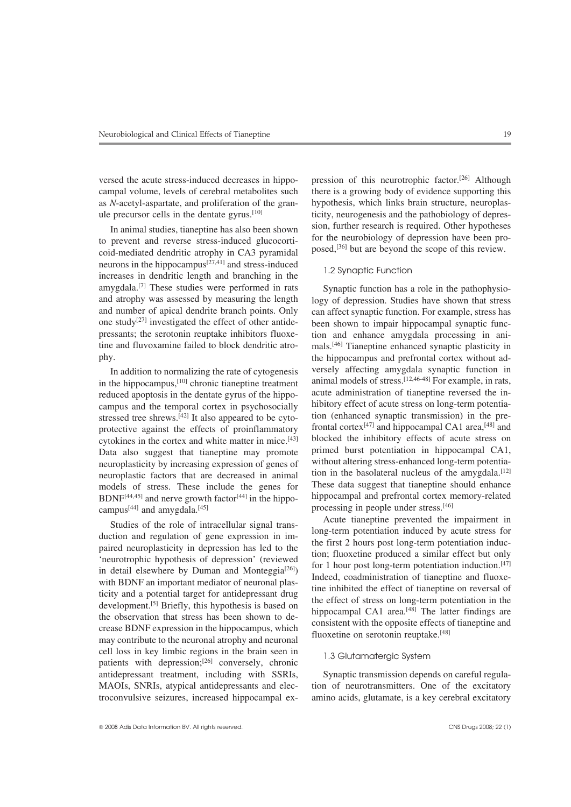In animal studies, tianeptine has also been shown<br>to prevent and reverse stress-induced glucocorti-<br>for the neurobiology of depression have been pro-<br>coid-mediated dendritic atrophy in CA3 pyramidal<br>neurons in the hippoca neurons in the improcampus and stress-induced 1.2 Synaptic Function increases in dendritic length and branching in the amygdala.<sup>[7]</sup> These studies were performed in rats Synaptic function has a role in the pathophysio-<br>and atrophy was assessed by measuring the length  $\log$  logy of depression. Studies have shown that stress and atrophy was assessed by measuring the length logy of depression. Studies have shown that stress<br>and number of apical dendrite branch points. Only can affect synaptic function. For example, stress has one study<sup>[27]</sup> investigated the effect of other antide-<br>pressants; the serotonin reuptake inhibitors fluoxe-<br>ion and enhance amygdala processing in anitine and fluvoxamine failed to block dendritic atro- mals.[46] Tianeptine enhanced synaptic plasticity in phy. the hippocampus and prefrontal cortex without ad-

in the hippocampus,<sup>[10]</sup> chronic tianeptine treatment animal models of stress.<sup>[12,46-48]</sup> For example, in rats, reduced apoptosis in the dentate gyrus of the hippocampus, acute administration of tianeptine reversed the reduced apoptosis in the dentate gyrus of the hippo-<br>campus and the temporal cortex in psychosocially hibitory effect of acute stress on long-term potentiacampus and the temporal cortex in psychosocially hibitory effect of acute stress on long-term potentia-<br>stressed tree shrews  $[42]$  It also appeared to be cyto-<br>tion (enhanced synaptic transmission) in the pre-Data also suggest that tianeptine may promote primed burst potentiation in hippocampal CA1,<br>neuroplasticity by increasing expression of genes of without altering stress-enhanced long-term potentia-BDNF $[44,45]$  and nerve growth factor $[44]$  in the hippocampus<sup>[44]</sup> and amygdala.<sup>[45]</sup>

in detail elsewhere by Duman and Monteggia<sup>[26]</sup><br>with BDNF an important mediator of neuronal plas-<br>lindeed, coadministration of tianeptine and fluoxe-<br>ticity and a potential target for antidepressant drug<br>development.<sup>[5]</sup> may contribute to the neuronal atrophy and neuronal cell loss in key limbic regions in the brain seen in 1.3 Glutamatergic System patients with depression;<sup>[26]</sup> conversely, chronic antidepressant treatment, including with SSRIs, Synaptic transmission depends on careful regula-MAOIs, SNRIs, atypical antidepressants and elec- tion of neurotransmitters. One of the excitatory troconvulsive seizures, increased hippocampal ex- amino acids, glutamate, is a key cerebral excitatory

versed the acute stress-induced decreases in hippo-<br>pression of this neurotrophic factor.<sup>[26]</sup> Although campal volume, levels of cerebral metabolites such there is a growing body of evidence supporting this as *N*-acetyl-aspartate, and proliferation of the gran- hypothesis, which links brain structure, neuroplasule precursor cells in the dentate gyrus.<sup>[10]</sup> ticity, neurogenesis and the pathobiology of depres-

and number of apical dendrite branch points. Only can affect synaptic function. For example, stress has one study<sup>[27]</sup> investigated the effect of other antide-<br>been shown to impair hippocampal synaptic function and enhance amygdala processing in ani-In addition to normalizing the rate of cytogenesis versely affecting amygdala synaptic function in the hinnocampus  $[10]$  chronic tianenting treatment animal models of stress.  $[12,46-48]$  For example, in rats, stressed tree shrews.<sup>[42]</sup> It also appeared to be cyto-<br>protective against the effects of proinflammatory frontal cortex<sup>[47]</sup> and hippocampal CA1 area,<sup>[48]</sup> and protective against the effects of proinflammatory frontal cortex<sup>[47]</sup> and hippocampal CA1 area,<sup>[48]</sup> and extokines in the cortex and white matter in mice  $[43]$  blocked the inhibitory effects of acute stress on cytokines in the cortex and white matter in mice.<sup>[43]</sup> blocked the inhibitory effects of acute stress on Data also suggest that tianentine may promote primed burst potentiation in hippocampal CA1, neuroplasticity by increasing expression of genes of without altering stress-enhanced long-term potentia-<br>neuroplastic factors that are decreased in animal tion in the basolateral nucleus of the amygdala.<sup>[12]</sup> neuroplastic factors that are decreased in animal tion in the basolateral nucleus of the amygdala.<sup>[12]</sup> neglect that integrates that the models of stress. These include the genes for These data suggest that tianeptine sh models of stress. These include the genes for These data suggest that tianeptine should enhance<br> $BDNF^{[44,45]}$  and nerve growth factor<sup>[44]</sup> in the hippo-<br>hippocampal and prefrontal cortex memory-related processing in people under stress.[46]

Studies of the role of intracellular signal trans-<br>duction and regulation of gene expression in im-<br>paired neuroplasticity in depression has led to the<br>"neurotrophic hypothesis of depression" (reviewed<br>in data a similar ef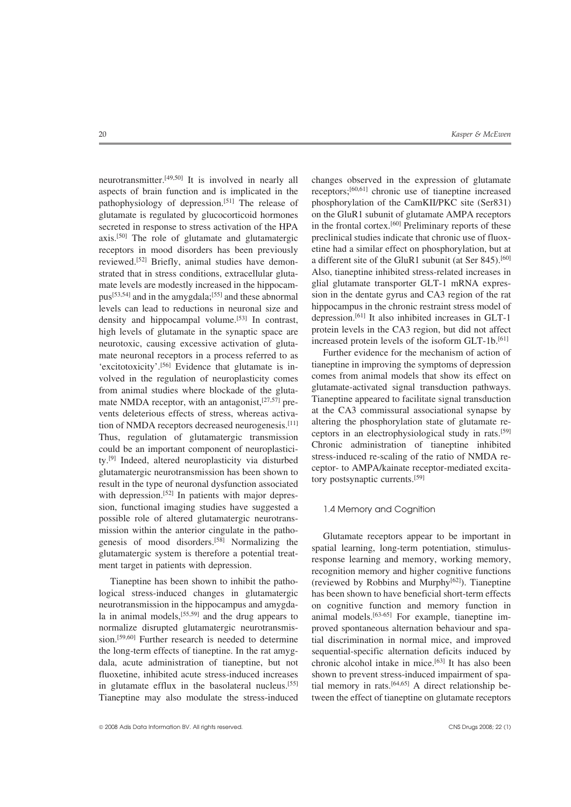aspects of brain function and is implicated in the receptors; $[60,61]$  chronic use of tianeptine increased pathophysiology of depression.<sup>[51]</sup> The release of phosphorylation of the CamKII/PKC site (Ser831) glutamate is regulated by glucocorticoid hormones on the GluR1 subunit of glutamate AMPA receptors glutamate is regulated by glucocorticoid hormones secreted in response to stress activation of the HPA in the frontal cortex.<sup>[60]</sup> Preliminary reports of these axis.<sup>[50]</sup> The role of glutamate and glutamatergic preclinical studies indicate that chronic use of fluoxaxis.<sup>[50]</sup> The role of glutamate and glutamatergic preclinical studies indicate that chronic use of fluox-<br>receptors in mood disorders has been previously etine had a similar effect on phosphorylation, but at receptors in mood disorders has been previously etine had a similar effect on phosphorylation, but at reviewed.<sup>[52]</sup> Briefly, animal studies have demon- a different site of the GluR1 subunit (at Ser 845).<sup>[60]</sup> reviewed.<sup>[52]</sup> Briefly, animal studies have demon-<br>strated that in stress conditions extracellular gluta-<br>Also, tianeptine inhibited stress-related increases in strated that in stress conditions, extracellular gluta-<br>mate levels are modestly increased in the hippocam-<br>glial glutamate transporter GLT-1 mRNA expresmate levels are modestly increased in the hippocam-<br> $\frac{\text{glial glutamate transporter GLT-1 mRNA expres-  
pus[53,54] and in the amvgdala: [55] and these abnormal}$  sion in the dentate gyrus and CA3 region of the rat pus<sup>[53,54]</sup> and in the amygdala;<sup>[55]</sup> and these abnormal sion in the dentate gyrus and CA3 region of the rat levels can lead to reductions in neuronal size and hippocampus in the chronic restraint stress model of hippocampus in the chronic restraint stress model of density and hippocampular depression.<sup>[61]</sup> It also inhibited increases in GLT-1 density and hippocampal volume.<sup>[53]</sup> In contrast, depression.<sup>[61]</sup> It also inhibited increases in GLT-1 high levels of glutamate in the synaptic space are protein levels in the CA3 region, but did not affect high levels of glutamate in the synaptic space are protein levels in the CA3 region, but did not affect here heured are protein levels of the isoform GLT-1b.<sup>[61]</sup> neurotoxic, causing excessive activation of gluta-<br>mate neuronal receptors in a process referred to as<br>Further evidence for the mechanism of action of mate neuronal receptors in a process referred to as Further evidence for the mechanism of action of  $\frac{1}{2}$  for  $\frac{1}{2}$  for  $\frac{1}{2}$  function of  $\frac{1}{2}$  function of  $\frac{1}{2}$  function of  $\frac{1}{2}$  function of  $\frac{1$ the texcitotoxicity'.<sup>[56]</sup> Evidence that glutamate is in-<br>volved in the requisition of neuroplasticity comes from animal models that show its effect on volved in the regulation of neuroplasticity comes comes from animal models that show its effect on from animal studies where blockade of the gluta<sub>r</sub> glutamate-activated signal transduction pathways. from animal studies where blockade of the gluta-<br>mate-activated signal transduction pathways.<br>Tianeptine appeared to facilitate signal transduction<br>mate NMDA receptor with an antagonist [27,57] pre mate NMDA receptor, with an antagonist,<sup>[27,57]</sup> pre-<br>vents deleterious effects of stress, whereas activa-<br>the CA3 commissural associational synapse by<br>tion of NMDA receptors decreased neurogenesis [11] altering the phosp tion of NMDA receptors decreased neurogenesis.<sup>[11]</sup> Thus, regulation of glutamatergic transmission<br>could be an important component of neuroplastici-<br>ty.<sup>[9]</sup> Indeed, altered neuroplasticity via disturbed<br>glutamatergic neurotransmission has been shown to<br>glutamatergic neuro result in the type of neuronal dysfunction associated with depression.<sup>[52]</sup> In patients with major depression, functional imaging studies have suggested a 1.4 Memory and Cognition possible role of altered glutamatergic neurotransmission within the anterior cingulate in the patho-<br>genesis of mood disorders.<sup>[58]</sup> Normalizing the<br>glutamatergic system is therefore a potential treat-<br>ment target in patients with depression.<br>ment target in patients wit

logical stress-induced changes in glutamatergic has been shown to have beneficial short-term effects neurotransmission in the hippocampus and amygda- on cognitive function and memory function in<br>la in animal models.<sup>[55,59]</sup> and the drug appears to animal models.<sup>[63-65]</sup> For example, tianentine imnormalize disrupted glutamatergic neurotransmis-<br>proved spontaneous alternation behaviour and spasion.[59,60] Further research is needed to determine tial discrimination in normal mice, and improved the long-term effects of tianeptine. In the rat amyg- sequential-specific alternation deficits induced by dala, acute administration of tianeptine, but not chronic alcohol intake in mice.<sup>[63]</sup> It has also been fluoxetine, inhibited acute stress-induced increases shown to prevent stress-induced impairment of spain glutamate efflux in the basolateral nucleus.<sup>[55]</sup> tial memory in rats.<sup>[64,65]</sup> A direct relationship be-Tianeptine may also modulate the stress-induced tween the effect of tianeptine on glutamate receptors

neurotransmitter.[49,50] It is involved in nearly all changes observed in the expression of glutamate

ceptors in an electrophysiological study in rats.[59]

Tianeptine has been shown to inhibit the patho- (reviewed by Robbins and Murphy $[62]$ ). Tianeptine animal models.<sup>[63-65]</sup> For example, tianeptine im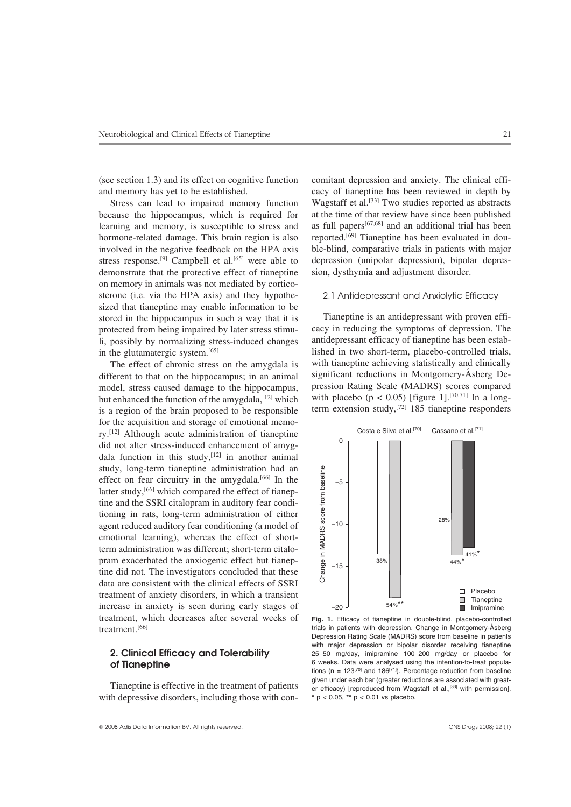and memory has yet to be established. cacy of tianeptine has been reviewed in depth by

because the hippocampus, which is required for at the time of that review have since been published learning and memory, is susceptible to stress and as full papers<sup>[67,68]</sup> and an additional trial has been hormone-related damage. This brain region is also reported.<sup>[69]</sup> Tianeptine has been evaluated in douinvolved in the negative feedback on the HPA axis ble-blind, comparative trials in patients with major stress response.<sup>[9]</sup> Campbell et al.<sup>[65]</sup> were able to depression (unipolar depression), bipolar depresdemonstrate that the protective effect of tianeptine sion, dysthymia and adjustment disorder. on memory in animals was not mediated by corticosterone (i.e. via the HPA axis) and they hypothe- 2.1 Antidepressant and Anxiolytic Efficacy sized that tianeptine may enable information to be stored in the hippocampus in such a way that it is Tianeptine is an antidepressant with proven effili, possibly by normalizing stress-induced changes

The effect of chronic stress on the amygdala is model, stress caused damage to the hippocampus, is a region of the brain proposed to be responsible for the acquisition and storage of emotional memory.[12] Although acute administration of tianeptine did not alter stress-induced enhancement of amygdala function in this study,  $[12]$  in another animal study, long-term tianeptine administration had an effect on fear circuitry in the amygdala.<sup>[66]</sup> In the latter study,<sup>[66]</sup> which compared the effect of tianeptine and the SSRI citalopram in auditory fear conditioning in rats, long-term administration of either agent reduced auditory fear conditioning (a model of emotional learning), whereas the effect of shortterm administration was different; short-term citalopram exacerbated the anxiogenic effect but tianeptine did not. The investigators concluded that these data are consistent with the clinical effects of SSRI treatment of anxiety disorders, in which a transient increase in anxiety is seen during early stages of treatment, which decreases after several weeks of treatment.[66]

# **2. Clinical Efficacy and Tolerability of Tianeptine**

Tianeptine is effective in the treatment of patients with depressive disorders, including those with con-

(see section 1.3) and its effect on cognitive function comitant depression and anxiety. The clinical effi-Stress can lead to impaired memory function Wagstaff et al.<sup>[33]</sup> Two studies reported as abstracts

protected from being impaired by later stress stimu-<br>i. possibly by normalizing stress-induced changes antidepressant efficacy of tianeptine has been estabin the glutamatergic system.<sup>[65]</sup> lished in two short-term, placebo-controlled trials,<br>The effect of chronic stress on the amyodala is with tianeptine achieving statistically and clinically different to that on the hippocampus; in an animal significant reductions in Montgomery-Asberg De-<br>
• pression Rating Scale (MADRS) scores compared but enhanced the function of the amygdala,<sup>[12]</sup> which with placebo (p < 0.05) [figure 1].<sup>[70,71]</sup> In a long-<br>is a region of the brain proposed to be responsible term extension study,<sup>[72]</sup> 185 tianeptine responders



**Fig. 1.** Efficacy of tianeptine in double-blind, placebo-controlled trials in patients with depression. Change in Montgomery-Åsberg Depression Rating Scale (MADRS) score from baseline in patients with major depression or bipolar disorder receiving tianeptine 25–50 mg/day, imipramine 100–200 mg/day or placebo for 6 weeks. Data were analysed using the intention-to-treat populations ( $n = 123^{[70]}$  and 186<sup>[71]</sup>). Percentage reduction from baseline given under each bar (greater reductions are associated with greater efficacy) [reproduced from Wagstaff et al.,<sup>[33]</sup> with permission]. **\*** p < 0.05, **\*\*** p < 0.01 vs placebo.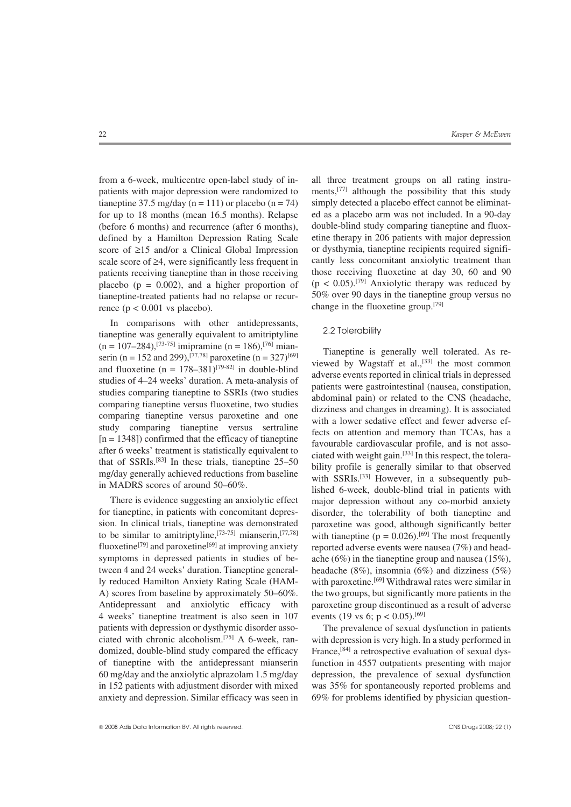patients with major depression were randomized to ments,<sup>[77]</sup> although the possibility that this study tianeptine 37.5 mg/day ( $n = 111$ ) or placebo  $(n = 74)$  simply detected a placebo effect cannot be eliminatfor up to 18 months (mean 16.5 months). Relapse ed as a placebo arm was not included. In a 90-day (before 6 months) and recurrence (after 6 months), double-blind study comparing tianeptine and fluoxdefined by a Hamilton Depression Rating Scale etine therapy in 206 patients with major depression score of  $\geq 15$  and/or a Clinical Global Impression or dysthymia, tianeptine recipients required signifiscore of  $\geq$ 15 and/or a Clinical Global Impression scale score of  $\geq 4$ , were significantly less frequent in cantly less concomitant anxiolytic treatment than patients receiving fluoxetine at day 30, 60 and 90 patients receiving tianeptine than in those receiving placebo (p = 0.002), and a higher proportion of (p < 0.05).<sup>[79]</sup> Anxiolytic therapy was reduced by tianeptine-treated patients had no relanse or recur-<br>50% over 90 days in the tianeptine group versus no tianeptine-treated patients had no relapse or recurrence  $(p < 0.001$  vs placebo). change in the fluoxetine group.<sup>[79]</sup>

In comparisons with other antidepressants, tianeptine was generally equivalent to amitriptyline 2.2 Tolerability (n = 107–284),<sup>[73-75]</sup> imipramine (n = 186),<sup>[76]</sup> mian-<br>serin (n = 152 and 299),<sup>[77,78]</sup> paroxetine (n = 327)<sup>[69]</sup> Tianeptine is generally well tolerated. As re-

for tianeptine, in patients with concomitant depres-<br>disorder, the tolerability of both tianeptine and sion. In clinical trials, tianeptine was demonstrated paroxetine was good, although significantly better to be similar to amitriptyline.<sup>[73-75]</sup> mianserin,<sup>[77,78]</sup> with tianeptine ( $p = 0.026$ ).<sup>[69]</sup> The most frequently to be similar to amitriptyline,<sup>[73-75]</sup> mianserin,<sup>[77,78]</sup> with tianeptine (p = 0.026).<sup>[69]</sup> The most frequently fluoxetine<sup>[79]</sup> and paroxetine<sup>[69]</sup> at improving anxiety reported adverse events were nausea (7%) and h symptoms in depressed patients in studies of be- ache  $(6%)$  in the tianeptine group and nausea (15%), tween 4 and 24 weeks' duration. Tianeptine general- headache (8%), insomnia (6%) and dizziness (5%) ly reduced Hamilton Anxiety Rating Scale (HAM- with paroxetine.<sup>[69]</sup> Withdrawal rates were similar in A) scores from baseline by approximately 50–60%. the two groups, but significantly more patients in the Antidepressant and anxiolytic efficacy with paroxetine group discontinued as a result of adverse 4 weeks' tianeptine treatment is also seen in 107 events (19 vs 6;  $p < 0.05$ ).<sup>[69]</sup> patients with depression or dysthymic disorder asso-<br>ciated with chronic alcoholism.<sup>[75]</sup> A 6-week, ran-<br>with depression is very high. In a study performed in domized, double-blind study compared the efficacy France,<sup>[84]</sup> a retrospective evaluation of sexual dysof tianeptine with the antidepressant mianserin function in 4557 outpatients presenting with major 60 mg/day and the anxiolytic alprazolam 1.5 mg/day depression, the prevalence of sexual dysfunction in 152 patients with adjustment disorder with mixed was 35% for spontaneously reported problems and anxiety and depression. Similar efficacy was seen in 69% for problems identified by physician question-

from a 6-week, multicentre open-label study of in- all three treatment groups on all rating instru-

Schiff (in = 152 and 259),<sup>79</sup>  $\rightarrow$  paradoxime (in = 521)<sup>179</sup> viewed by Wagstaff et al.,<sup>[33]</sup> the most common and fluorating station. A meta-analysis of patients were gastrointestinal (nausea, constipation, studies comp There is evidence suggesting an anxiolytic effect major depression without any co-morbid anxiety reported adverse events were nausea (7%) and head-

with depression is very high. In a study performed in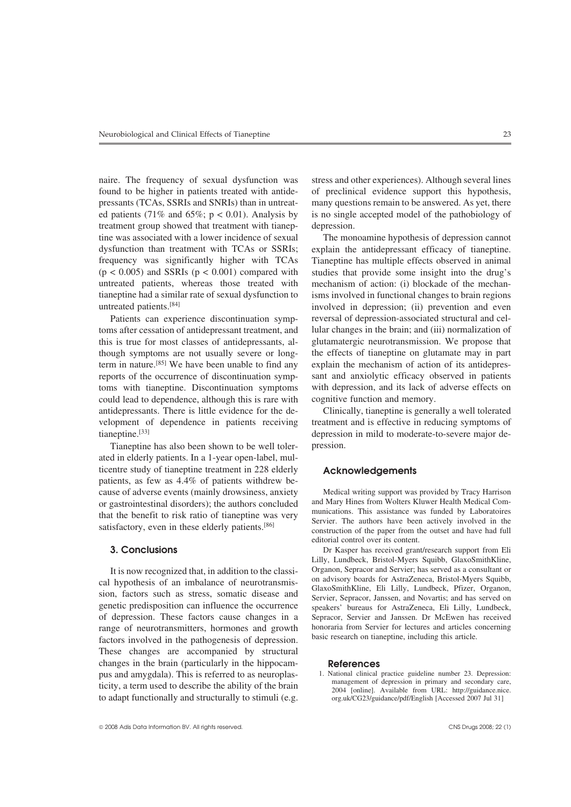treatment group showed that treatment with tianep- depression. tine was associated with a lower incidence of sexual The monoamine hypothesis of depression cannot dysfunction than treatment with TCAs or SSRIs; explain the antidepressant efficacy of tianeptine. frequency was significantly higher with TCAs Tianeptine has multiple effects observed in animal  $(p < 0.005)$  and SSRIs  $(p < 0.001)$  compared with studies that provide some insight into the drug's untreated patients, whereas those treated with mechanism of action: (i) blockade of the mechantianeptine had a similar rate of sexual dysfunction to isms involved in functional changes to brain regions untreated patients.<sup>[84]</sup> in the involved in depression; (ii) prevention and even

toms after cessation of antidepressant treatment, and lular changes in the brain; and (iii) normalization of this is true for most classes of antidepressants, al- glutamatergic neurotransmission. We propose that though symptoms are not usually severe or long- the effects of tianeptine on glutamate may in part term in nature.  $[85]$  We have been unable to find any explain the mechanism of action of its antidepresreports of the occurrence of discontinuation symp- sant and anxiolytic efficacy observed in patients toms with tianeptine. Discontinuation symptoms with depression, and its lack of adverse effects on could lead to dependence, although this is rare with cognitive function and memory. antidepressants. There is little evidence for the de- Clinically, tianeptine is generally a well tolerated tianeptine.[33] depression in mild to moderate-to-severe major de-

Tianeptine has also been shown to be well toler- pression. ated in elderly patients. In a 1-year open-label, multicentre study of tianeptine treatment in 228 elderly **Acknowledgements** patients, as few as 4.4% of patients withdrew because of adverse events (mainly drowsiness, anxiety Medical writing support was provided by Tracy Harrison<br>or gastrointestinal disorders): the authors concluded and Mary Hines from Wolters Kluwer Health Medical Comor gastrointestinal disorders); the authors concluded<br>that the benefit to risk ratio of tianeptine was very<br>satisfactory, even in these elderly patients.<sup>[86]</sup><br>satisfactory, even in these elderly patients.<sup>[86]</sup><br>constructi

It is now recognized that, in addition to the classi-<br>
corganon, Sepracor and Servier; has served as a consultant or<br>
cal hypothesis of an imbalance of neurotransmis-<br>
sion, factors such as stress, somatic disease and<br>
gen of depression. These factors cause changes in a Sepracor, Servier and Janssen. Dr McEwen has received range of neurotransmitters, hormones and growth honoraria from Servier for lectures and articles concerning<br>factors involved in the pathogenesis of depression basic research on tianeptine, including this article. factors involved in the pathogenesis of depression. These changes are accompanied by structural changes in the brain (particularly in the hippocam-<br>pus and amygdala). This is referred to as neuroplas-<br>1. National clinical practice guideline number 23. Depression: pus and amygdala). This is referred to as neuroplas-<br>tigity of the health chility of the health contained in the depression in primary and secondary care, ticity, a term used to describe the ability of the brain and secondary care,<br>to adapt functionally and structurally to stimuli (e.g. org.uk/CG23/guidance/pdf/English [Accessed 2007 Jul 31] to adapt functionally and structurally to stimuli (e.g.

naire. The frequency of sexual dysfunction was stress and other experiences). Although several lines found to be higher in patients treated with antide- of preclinical evidence support this hypothesis, pressants (TCAs, SSRIs and SNRIs) than in untreat- many questions remain to be answered. As yet, there ed patients (71% and 65%;  $p < 0.01$ ). Analysis by is no single accepted model of the pathobiology of

involved in depression; (ii) prevention and even Patients can experience discontinuation symp- reversal of depression-associated structural and cel-

velopment of dependence in patients receiving treatment and is effective in reducing symptoms of

construction of the paper from the outset and have had full editorial control over its content.

**3. Conclusions** Dr Kasper has received grant/research support from Eli Lilly, Lundbeck, Bristol-Myers Squibb, GlaxoSmithKline,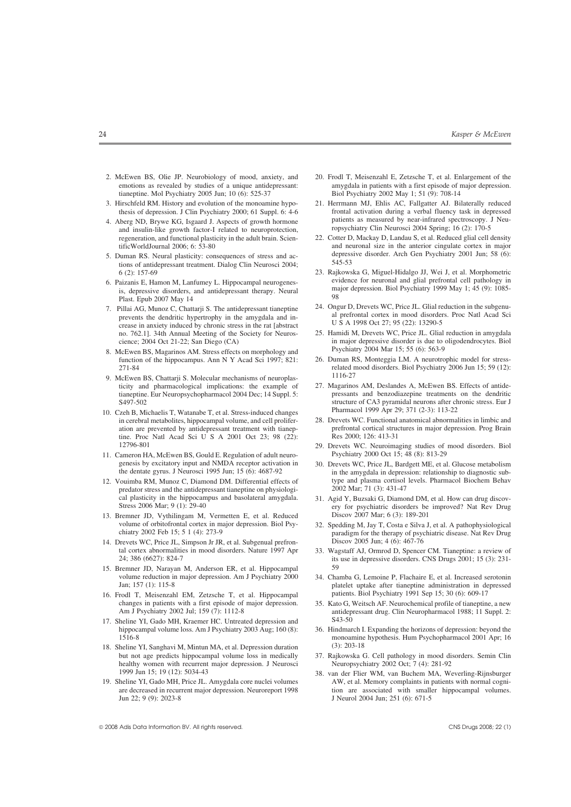- tianeptine. Mol Psychiatry 2005 Jun; 10 (6): 525-37 Biol Psychiatry 2002 May 1; 51 (9): 708-14
- 3. Hirschfeld RM. History and evolution of the monoamine hypo- 21. Herrmann MJ, Ehlis AC, Fallgatter AJ. Bilaterally reduced
- 4. Aberg ND, Brywe KG, Isgaard J. Aspects of growth hormone patients as measured by near-infrared spectroscopy. J Neu-<br>and insulin-like growth factor-I related to neuroprotection,<br>regeneration, and functional plasticity in regeneration, and functional plasticity in the adult brain. Scien-
- 5. Duman RS. Neural plasticity: consequences of stress and ac-<br>tions of antidepressant treatment. Dialog Clin Neurosci 2004; 545-53
- 6. Paizanis E, Hamon M, Lanfumey L. Hippocampal neurogenes-<br>
is, depressive disorders, and antidepressant therapy. Neural<br>
Plast. Epub 2007 May 14<br>
Pillai AG Munoz C Chatterii S. The antidepressant tianentine<br>
24. Ongur D,
- no. 762.1]. 34th Annual Meeting of the Society for Neuros-<br>cience: 2004 Oct 21-22; San Diego (CA) in major depressive disorder is due to oligodendrocytes. Biol
- 8. McEwen BS, Magarinos AM. Stress effects on morphology and Psychiatry 2004 Mar 15; 55 (6): 563-9 8. Function of the hippocampus. Ann N Y Acad Sci 1997; 821: 26. Duman RS, Monteggia LM. A neurotrophic model for stressfunction of the hippocampus. Ann N Y Acad Sci 1997; 821:  $271-84$
- 9. McEwen BS, Chattarji S. Molecular mechanisms of neuroplas-<br>ticity and pharmacological implications: the example of 27. Magarino tianeptine. Eur Neuropsychopharmacol 2004 Dec; 14 Suppl. 5: S497-502
- 10. Czeh B, Michaelis T, Watanabe T, et al. Stress-induced changes in cerebral metabolites, hippocampal volume, and cell prolifertine. Proc Natl Acad Sci U S A 2001 Oct 23; 98 (22): 12796-801
- 11. Cameron HA, McEwen BS, Gould E. Regulation of adult neurogenesis by excitatory input and NMDA receptor activation in 30. Drevets WC, Price JL, Bardgett ME, et al. Glucose metabolism<br>the dentate gyrus. J Neurosci 1995 Jun; 15 (6): 4687-92 in the amyedala in depression: relationsh
- predator stress and the antidepressant tianeptine on physiological plasticity in the hippocampus and basolateral amygdala. 31. Agid Y, Buzsaki G, Diamond DM, et al. How can drug discov-<br>Stress 2006 Mar; 9 (1): 29-40 ery for psychiatric disorders be improved? Nat Rev Drug
- 13. Bremner JD, Vythilingam M, Vermetten E, et al. Reduced Discov 2007 Mar; 6 (3): 189-201 volume of orbitofrontal cortex in major depression. Biol Psy- 32. Spedding M. Jav T. Costa e Silva J
- 14. Drevets WC, Price JL, Simpson Jr JR, et al. Subgenual prefron- Discov 2005 Jun; 4 (6): 467-76
- 15. Bremner JD, Narayan M, Anderson ER, et al. Hippocampal 59 volume reduction in major depression. Am J Psychiatry 2000 34. Chamba G, Lemoine P, Flachaire E, et al. Increased serotonin
- 16. Frodl T, Meisenzahl EM, Zetzsche T, et al. Hippocampal patients. Biol Psychiatry 1991 Sep 15; 30 (6): 609-17 changes in patients with a first episode of major depression. 35. Kato G, Weitsch AF. Neurochemical profile o
- 17. Sheline YI, Gado MH, Kraemer HC. Untreated depression and hippocampal volume loss. Am J Psychiatry 2003 Aug; 160 (8): 36. Hindmarch I. Expanding the horizons of depression: beyond the norizons of depression: beyond the monoamine hypothesis. Hum Psychopharmacol 2001 Apr; 16
- 18. Sheline YI, Sanghavi M, Mintun MA, et al. Depression duration (3): 203-18<br>but not age predicts hippocampal volume loss in medically 37. Rajkowska ( healthy women with recurrent major depression. J Neurosci Neuropsychiatry 2002 Oct; 7 (4): 281-92<br>1999 Jun 15; 19 (12): 5034-43 <br>28 van der Flier WM van Buchem MA W
- 
- 2. McEwen BS, Olie JP. Neurobiology of mood, anxiety, and 20. Frodl T, Meisenzahl E, Zetzsche T, et al. Enlargement of the emotions as revealed by studies of a unique antidepressant: amy edala in patients with a first epis amygdala in patients with a first episode of major depression.
	- thesis of depression. J Clin Psychiatry 2000; 61 Suppl. 6: 4-6 frontal activation during a verbal fluency task in depressed
	- tificWorldJournal 2006; 6: 53-80 and neuronal size in the anterior cingulate cortex in major
	- 6 (2): 157-69 23. Rajkowska G, Miguel-Hidalgo JJ, Wei J, et al. Morphometric
- 7. Pillai AG, Munoz C, Chattarji S. The antidepressant tianeptine 24. Ongur D, Drevets WC, Price JL. Glial reduction in the subgenuprevents the dendritic hypertrophy in the amygdala and in-<br>crease in anxiety induced by chr
	- in major depressive disorder is due to oligodendrocytes. Biol
	- related mood disorders. Biol Psychiatry 2006 Jun 15; 59 (12):
	- 27. Magarinos AM, Deslandes A, McEwen BS. Effects of antide-<br>pressants and benzodiazepine treatments on the dendritic structure of CA3 pyramidal neurons after chronic stress. Eur J<br>Pharmacol 1999 Apr 29; 371 (2-3): 113-22
	- 28. Drevets WC. Functional anatomical abnormalities in limbic and ation are prevented by antidepressant treatment with tianep-<br>
	tine. Proc Natl Acad Sci U S A 2001 Oct 23: 98 (22):<br>
	Res 2000; 126: 413-31
		- 29. Drevets WC. Neuroimaging studies of mood disorders. Biol Psychiatry 2000 Oct 15; 48 (8): 813-29
- in the amygdala in depression: relationship to diagnostic sub-12. Vouimba RM, Munoz C, Diamond DM. Differential effects of type and plasma cortisol levels. Pharmacol Biochem Behav<br>
predator stress and the antidepressant tianeptine on physiologi-<br>
2002 Mar; 71 (3): 431-47
	- ery for psychiatric disorders be improved? Nat Rev Drug
	- 32. Spedding M, Jay T, Costa e Silva J, et al. A pathophysiological chiatry 2002 Feb 15; 5 1 (4): 273-9 paradigm for the therapy of psychiatric disease. Nat Rev Drug
	- tal cortex abnormalities in mood disorders. Nature 1997 Apr 33. Wagstaff AJ, Ormrod D, Spencer CM. Tianeptine: a review of<br>24: 386 (6627): 824-7<br>231- its use in depressive disorders. CNS Drugs 2001: 15 (3): 231its use in depressive disorders. CNS Drugs 2001; 15 (3): 231-
	- Jan; 157 (1): 115-8 platelet uptake after tianeptine administration in depressed
	- 35. Kato G, Weitsch AF. Neurochemical profile of tianeptine, a new Am J Psychiatry 2002 Jul; 159 (7): 1112-8 antidepressant drug. Clin Neuropharmacol 1988; 11 Suppl. 2:<br>heline YL Gado MH Kraemer HC Untreated depression and S43-50
		- monoamine hypothesis. Hum Psychopharmacol 2001 Apr; 16
		- 37. Rajkowska G. Cell pathology in mood disorders. Semin Clin
- 38. van der Flier WM, van Buchem MA, Weverling-Rijnsburger 19. Sheline YI, Gado MH, Price JL. Amygdala core nuclei volumes AW, et al. Memory complaints in patients with normal cogni-<br>are decreased in recurrent major depression. Neuroreport 1998 tion are associated with smaller hip are decreased in recurrent major depression. Neuroreport 1998 tion are associated with smaller hippocampal volumes.<br>Jun 22; 9 (9): 2023-8 J Neurol 2004 Jun; 251 (6): 671-5 J Neurol 2004 Jun; 251 (6): 671-5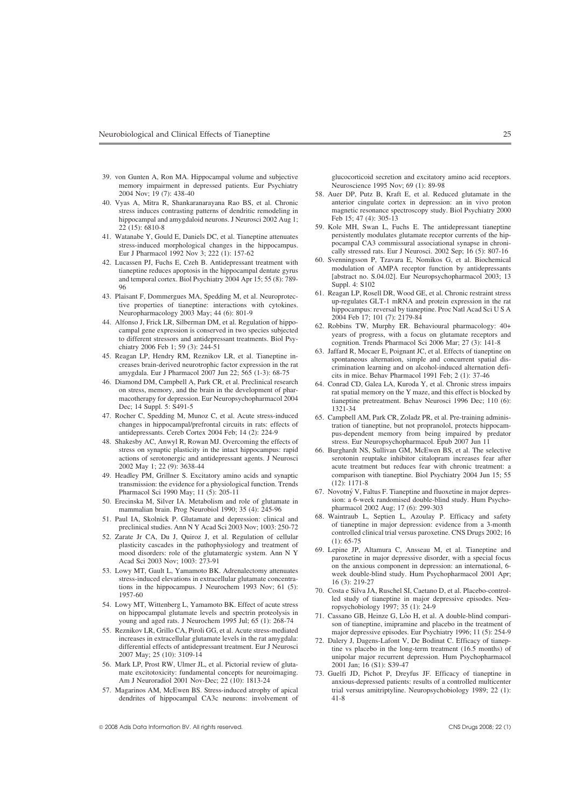- 39. von Gunten A, Ron MA. Hippocampal volume and subjective glucocorticoid secretion and excitatory amino acid receptors.<br>
memory impairment in depressed patients. Eur Psychiatry Neuroscience 1995 Nov; 69 (1): 89-98 memory impairment in depressed patients. Eur Psychiatry
- 40. Vyas A, Mitra R, Shankaranarayana Rao BS, et al. Chronic hippocampal and amygdaloid neurons. J Neurosci 2002 Aug 1;
- stress-induced morphological changes in the hippocampus.<br>Eur J Pharmacol 1992 Nov 3; 222 (1): 157-62
- 
- 
- 
- 
- 
- 47. Rocher C, Spedding M, Munoz C, et al. Acute stress-induced 65. Campbell AM, Park CR, Zoladz PR, et al. Pre-training adminis-<br>changes in hippocampal/prefrontal circuits in rats: effects of tration of tianeptine, but not
- 48. Shakesby AC, Anwyl R, Rowan MJ. Overcoming the effects of stress. Eur Neuropsychopharmacol. Epub 2007 Jun 11 stress on synaptic plasticity in the intact hippocampus: rapid 66. Burghardt NS, Sullivan GM, McEwen BS, et a stress on synaptic plasticity in the intact hippocampus: rapid 66. Burghardt NS, Sullivan GM, McEwen BS, et al. The selective actions of serotonergic and antidepressant agents. J Neurosci serotonin reuptake inhibitor cital
- transmission: the evidence for a physiological function. Trends
- 50. Erecinska M, Silver IA. Metabolism and role of glutamate in sion: a 6-week randomised double-blind study. Hum Proc Neurobiol 1990: 35 (4): 245-96 pharmacol 2002 Aug; 17 (6): 299-303 mammalian brain. Prog Neurobiol 1990; 35 (4): 245-96 pharmacol 2002 Aug; 17 (6): 299-303<br>pharmacol 2002 Aug; 17 (6): 299-303<br>pharmacol 2002 Aug; 17 (6): 299-303
- 
- 
- 
- 
- 55. Reznikov LR, Grillo CA, Piroli GG, et al. Acute stress-mediated major depressive episodes. Eur Psychiatry 1996; 11 (5): 254-9 increases in extracellular glutamate levels in the rat amygdala: 72 Dalery J. Dagens-J afont
- 56. Mark LP, Prost RW, Ulmer JL, et al. Pictorial review of glutamate excitotoxicity: fundamental concepts for neuroimaging. 73. Guelfi JD, Pichot P, Dreyfus JF. Efficacy of tianeptine in<br>Am J Neuroradiol 2001 Nov-Dec; 22 (10): 1813-24 anxious-depressed patients: results of a controlled
- dendrites of hippocampal CA3c neurons: involvement of

- 2004 Nov; 19 (7): 438-40<br>Vyas A, Mitra R, Shankaranarayana Rao BS, et al. Chronic anterior cingulate cortex in depression: an in vivo proton stress induces contrasting patterns of dendritic remodeling in magnetic resonance spectroscopy study. Biol Psychiatry 2000 hippocampal and amyedaloid neurons. J Neurosci 2002 Aug 1: Feb 15; 47 (4): 305-13
- 22 (15): 6810-8<br>Vatanabe Y Gould E Daniels DC et al. Tianeptine attenuates surface persistently modulates glutamate receptor currents of the hip-41. Watanabe Y, Gould E, Daniels DC, et al. Tianeptine attenuates persistently modulates glutamate receptor currents of the hip-<br>stress-induced morphological changes in the hippocampus pocampal CA3 commissural associationa cally stressed rats. Eur J Neurosci. 2002 Sep; 16 (5): 807-16<br>60. Svenningsson P, Tzavara E, Nomikos G, et al. Biochemical
- 42. Lucassen PJ, Fuchs E, Czeh B. Antidepressant treatment with tianeptine reduces apoptosis in the hippocampal dentate gyrus<br>
and temporal cortex. Biol Psychiatry 2004 Apr 15; 55 (8): 789-<br>
May 15: 55 (8): 789-<br>
961. Reag
- 43. Plaisant F, Dommergues MA, Spedding M, et al. Neuroprotective properties of tianeptine: interactions with cytokines.<br>
tive properties of tianeptine: interactions with cytokines.<br>
Neuropharmacology 2003 May; 44 (6): 80
	-
	-
- 46. Diamond DM, Campbell A, Park CR, et al. Preclinical research<br>
on stress, memory, and the brain in the development of phar-<br>
on stress, memory, and the brain in the development of phar-<br>
macotherapy for depression. Eur
	- changes in hippocampal/prefrontal circuits in rats: effects of tration of tianeptine, but not propranolol, protects hippocam-<br>
	pus-dependent memory from being impaired by predator pus-dependent memory from being impaired by predator
- actions of serotonergic and antidepressant agents. J Neurosci serotonin reuptake inhibitor citalopram increases fear after 2002 May 1; 22 (9): 3638-44 cause fear actual content but reduces fear with chronic treatment: a acute treatment but reduces fear with chronic treatment: a 49. Headley PM, Grillner S. Excitatory amino acids and synaptic comparison with tianeptine. Biol Psychiatry 2004 Jun 15; 55 transmission: the evidence for a physiological function Trends (12): 1171-8
	- Pharmacol Sci 1990 May; 11 (5): 205-11 67. 67. Novotný V, Faltus F. Tianeptine and fluoxetine in major depres-<br>
	Sin: a 6-week randomised double-blind study. Hum Psycho-
		-
- 51. Paul IA, Skolnick P. Glutamate and depression: clinical and<br>
preclinical studies. Ann NY Acad Sci 2003 Nov; 1003: 250-72 of tiangitie in major depression: evidence from a 3-month<br>
52. Zarate Jr CA, Du J, Quiroz J, et
	-
	-
	- increases in extracellular glutamate levels in the rat amygdala: depression of the base of antidepressant treatment. Eur J Neurosci and the vs placebo in the long-term treatment (16.5 months) of the vs placebo in the long-
- Am J Neuroradiol 2001 Nov-Dec; 22 (10): 1813-24 anxious-depressed patients: results of a controlled multicenter<br>57. Magarinos AM, McEwen BS. Stress-induced atrophy of apical trial versus amitriptyline. Neuropsychobiology 1 trial versus amitriptyline. Neuropsychobiology 1989; 22 (1): 41-8